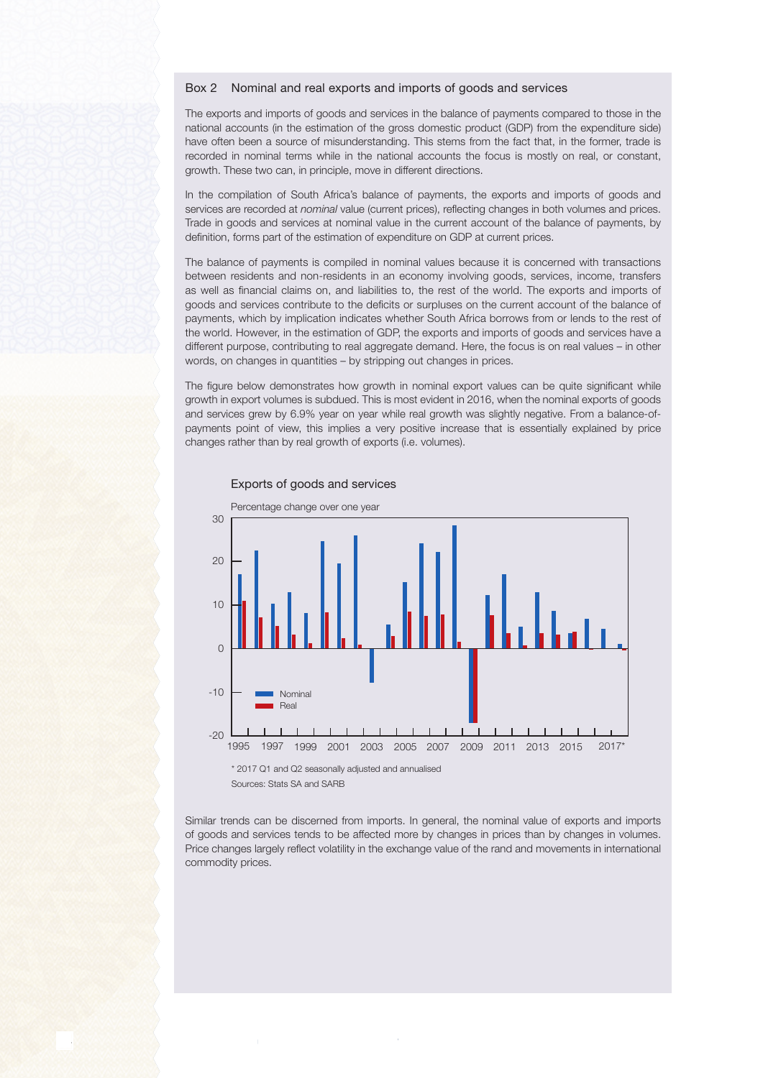## Box 2 Nominal and real exports and imports of goods and services

The exports and imports of goods and services in the balance of payments compared to those in the national accounts (in the estimation of the gross domestic product (GDP) from the expenditure side) have often been a source of misunderstanding. This stems from the fact that, in the former, trade is recorded in nominal terms while in the national accounts the focus is mostly on real, or constant, growth. These two can, in principle, move in different directions.

In the compilation of South Africa's balance of payments, the exports and imports of goods and services are recorded at nominal value (current prices), reflecting changes in both volumes and prices. Trade in goods and services at nominal value in the current account of the balance of payments, by definition, forms part of the estimation of expenditure on GDP at current prices.

The balance of payments is compiled in nominal values because it is concerned with transactions between residents and non-residents in an economy involving goods, services, income, transfers as well as financial claims on, and liabilities to, the rest of the world. The exports and imports of goods and services contribute to the deficits or surpluses on the current account of the balance of payments, which by implication indicates whether South Africa borrows from or lends to the rest of the world. However, in the estimation of GDP, the exports and imports of goods and services have a different purpose, contributing to real aggregate demand. Here, the focus is on real values – in other words, on changes in quantities – by stripping out changes in prices.

The figure below demonstrates how growth in nominal export values can be quite significant while growth in export volumes is subdued. This is most evident in 2016, when the nominal exports of goods and services grew by 6.9% year on year while real growth was slightly negative. From a balance-ofpayments point of view, this implies a very positive increase that is essentially explained by price changes rather than by real growth of exports (i.e. volumes).



## Exports of goods and services

\* 2017 Q1 and Q2 seasonally adjusted and annualised Sources: Stats SA and SARB

Similar trends can be discerned from imports. In general, the nominal value of exports and imports of goods and services tends to be affected more by changes in prices than by changes in volumes. Price changes largely reflect volatility in the exchange value of the rand and movements in international commodity prices.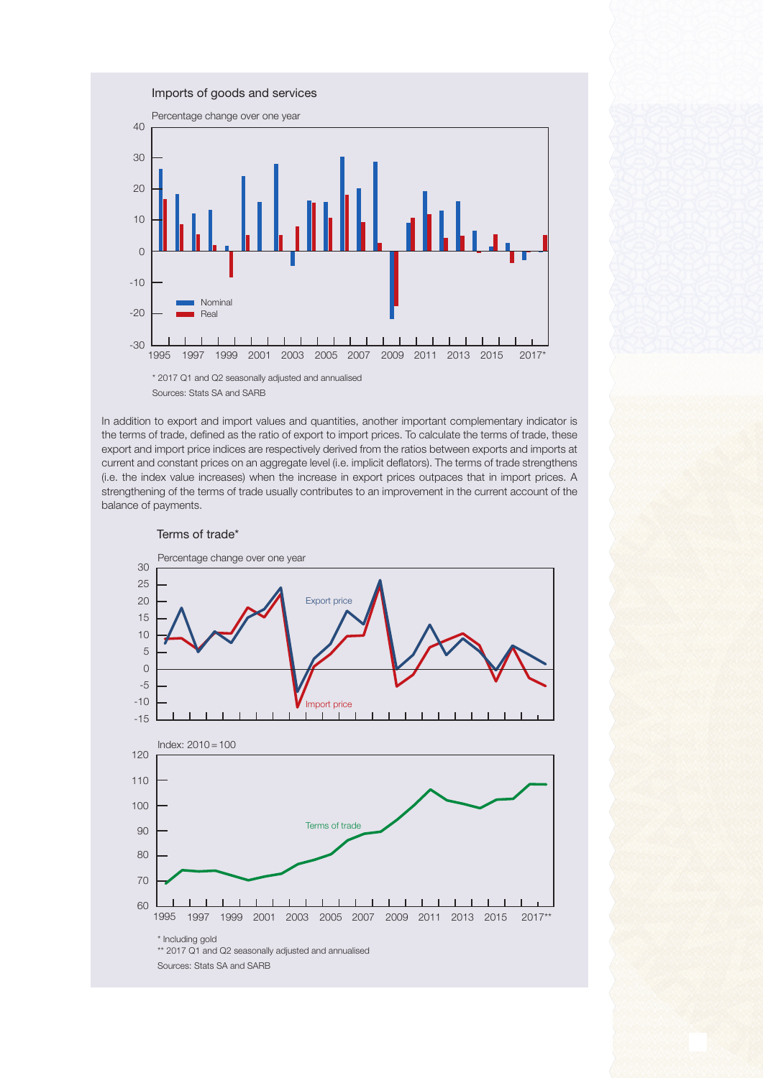

In addition to export and import values and quantities, another important complementary indicator is the terms of trade, defined as the ratio of export to import prices. To calculate the terms of trade, these export and import price indices are respectively derived from the ratios between exports and imports at current and constant prices on an aggregate level (i.e. implicit deflators). The terms of trade strengthens (i.e. the index value increases) when the increase in export prices outpaces that in import prices. A strengthening of the terms of trade usually contributes to an improvement in the current account of the balance of payments.



## Terms of trade\*